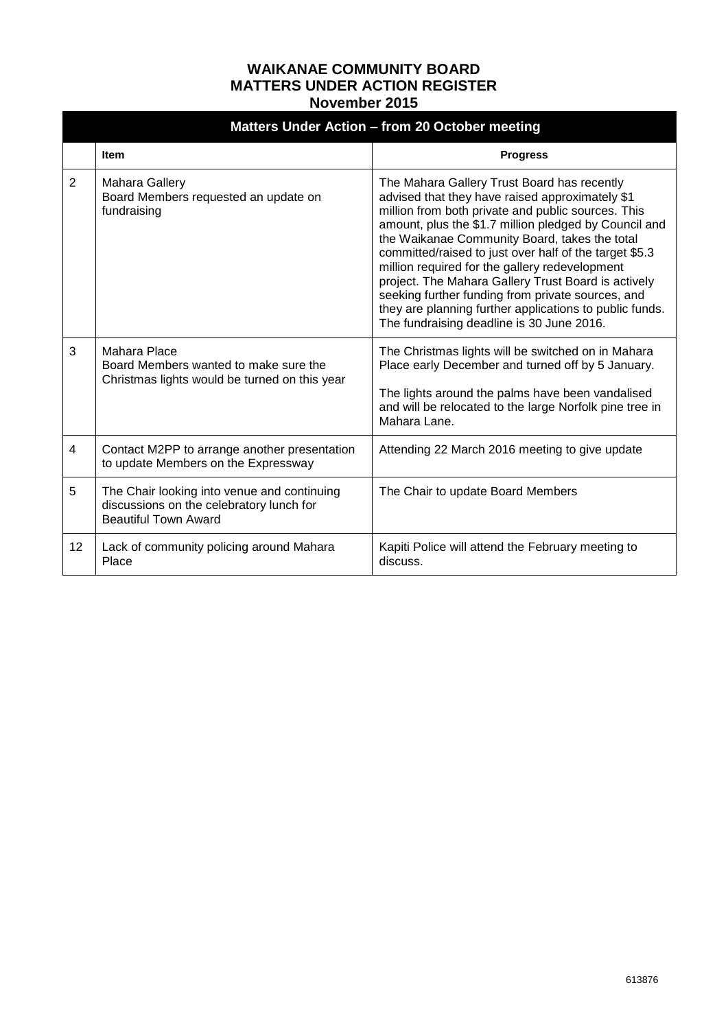## **WAIKANAE COMMUNITY BOARD MATTERS UNDER ACTION REGISTER November 2015**

| Matters Under Action - from 20 October meeting |                                                                                                                        |                                                                                                                                                                                                                                                                                                                                                                                                                                                                                                                                                                                                |  |  |
|------------------------------------------------|------------------------------------------------------------------------------------------------------------------------|------------------------------------------------------------------------------------------------------------------------------------------------------------------------------------------------------------------------------------------------------------------------------------------------------------------------------------------------------------------------------------------------------------------------------------------------------------------------------------------------------------------------------------------------------------------------------------------------|--|--|
|                                                | <b>Item</b>                                                                                                            | <b>Progress</b>                                                                                                                                                                                                                                                                                                                                                                                                                                                                                                                                                                                |  |  |
| 2                                              | Mahara Gallery<br>Board Members requested an update on<br>fundraising                                                  | The Mahara Gallery Trust Board has recently<br>advised that they have raised approximately \$1<br>million from both private and public sources. This<br>amount, plus the \$1.7 million pledged by Council and<br>the Waikanae Community Board, takes the total<br>committed/raised to just over half of the target \$5.3<br>million required for the gallery redevelopment<br>project. The Mahara Gallery Trust Board is actively<br>seeking further funding from private sources, and<br>they are planning further applications to public funds.<br>The fundraising deadline is 30 June 2016. |  |  |
| 3                                              | Mahara Place<br>Board Members wanted to make sure the<br>Christmas lights would be turned on this year                 | The Christmas lights will be switched on in Mahara<br>Place early December and turned off by 5 January.<br>The lights around the palms have been vandalised<br>and will be relocated to the large Norfolk pine tree in<br>Mahara Lane.                                                                                                                                                                                                                                                                                                                                                         |  |  |
| $\overline{4}$                                 | Contact M2PP to arrange another presentation<br>to update Members on the Expressway                                    | Attending 22 March 2016 meeting to give update                                                                                                                                                                                                                                                                                                                                                                                                                                                                                                                                                 |  |  |
| 5                                              | The Chair looking into venue and continuing<br>discussions on the celebratory lunch for<br><b>Beautiful Town Award</b> | The Chair to update Board Members                                                                                                                                                                                                                                                                                                                                                                                                                                                                                                                                                              |  |  |
| 12                                             | Lack of community policing around Mahara<br>Place                                                                      | Kapiti Police will attend the February meeting to<br>discuss.                                                                                                                                                                                                                                                                                                                                                                                                                                                                                                                                  |  |  |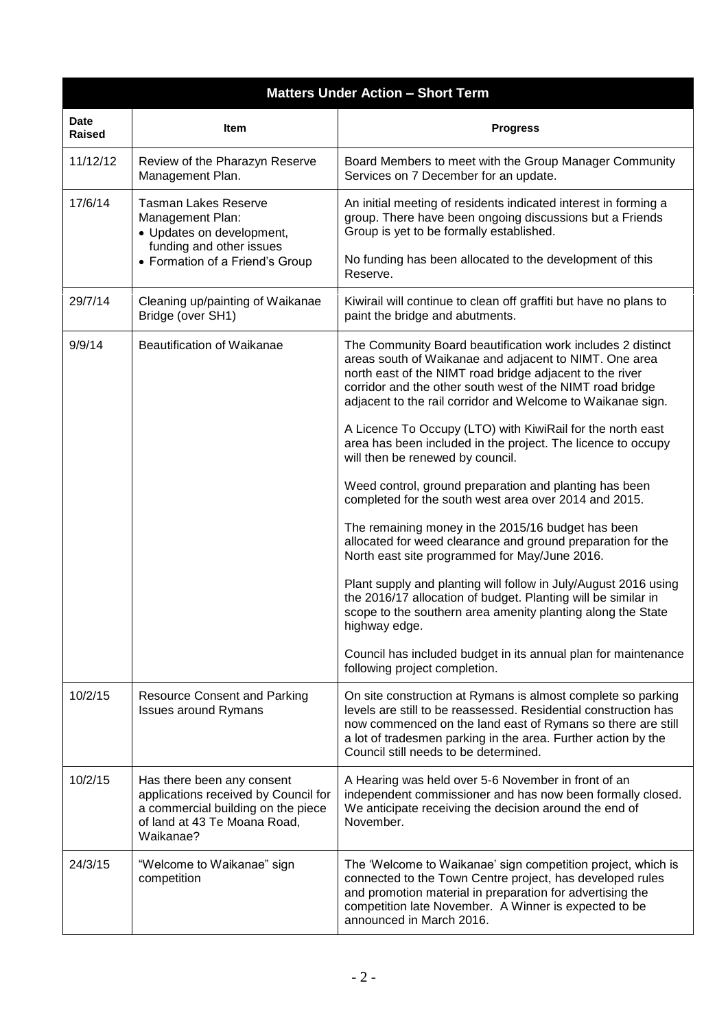| <b>Matters Under Action - Short Term</b> |                                                                                                                                                       |                                                                                                                                                                                                                                                                                                               |  |  |
|------------------------------------------|-------------------------------------------------------------------------------------------------------------------------------------------------------|---------------------------------------------------------------------------------------------------------------------------------------------------------------------------------------------------------------------------------------------------------------------------------------------------------------|--|--|
| <b>Date</b><br><b>Raised</b>             | Item                                                                                                                                                  | <b>Progress</b>                                                                                                                                                                                                                                                                                               |  |  |
| 11/12/12                                 | Review of the Pharazyn Reserve<br>Management Plan.                                                                                                    | Board Members to meet with the Group Manager Community<br>Services on 7 December for an update.                                                                                                                                                                                                               |  |  |
| 17/6/14                                  | <b>Tasman Lakes Reserve</b><br>Management Plan:<br>• Updates on development,<br>funding and other issues<br>• Formation of a Friend's Group           | An initial meeting of residents indicated interest in forming a<br>group. There have been ongoing discussions but a Friends<br>Group is yet to be formally established.<br>No funding has been allocated to the development of this                                                                           |  |  |
|                                          |                                                                                                                                                       | Reserve.                                                                                                                                                                                                                                                                                                      |  |  |
| 29/7/14                                  | Cleaning up/painting of Waikanae<br>Bridge (over SH1)                                                                                                 | Kiwirail will continue to clean off graffiti but have no plans to<br>paint the bridge and abutments.                                                                                                                                                                                                          |  |  |
| 9/9/14                                   | Beautification of Waikanae                                                                                                                            | The Community Board beautification work includes 2 distinct<br>areas south of Waikanae and adjacent to NIMT. One area<br>north east of the NIMT road bridge adjacent to the river<br>corridor and the other south west of the NIMT road bridge<br>adjacent to the rail corridor and Welcome to Waikanae sign. |  |  |
|                                          |                                                                                                                                                       | A Licence To Occupy (LTO) with KiwiRail for the north east<br>area has been included in the project. The licence to occupy<br>will then be renewed by council.                                                                                                                                                |  |  |
|                                          |                                                                                                                                                       | Weed control, ground preparation and planting has been<br>completed for the south west area over 2014 and 2015.                                                                                                                                                                                               |  |  |
|                                          |                                                                                                                                                       | The remaining money in the 2015/16 budget has been<br>allocated for weed clearance and ground preparation for the<br>North east site programmed for May/June 2016.                                                                                                                                            |  |  |
|                                          |                                                                                                                                                       | Plant supply and planting will follow in July/August 2016 using<br>the 2016/17 allocation of budget. Planting will be similar in<br>scope to the southern area amenity planting along the State<br>highway edge.                                                                                              |  |  |
|                                          |                                                                                                                                                       | Council has included budget in its annual plan for maintenance<br>following project completion.                                                                                                                                                                                                               |  |  |
| 10/2/15                                  | <b>Resource Consent and Parking</b><br><b>Issues around Rymans</b>                                                                                    | On site construction at Rymans is almost complete so parking<br>levels are still to be reassessed. Residential construction has<br>now commenced on the land east of Rymans so there are still<br>a lot of tradesmen parking in the area. Further action by the<br>Council still needs to be determined.      |  |  |
| 10/2/15                                  | Has there been any consent<br>applications received by Council for<br>a commercial building on the piece<br>of land at 43 Te Moana Road,<br>Waikanae? | A Hearing was held over 5-6 November in front of an<br>independent commissioner and has now been formally closed.<br>We anticipate receiving the decision around the end of<br>November.                                                                                                                      |  |  |
| 24/3/15                                  | "Welcome to Waikanae" sign<br>competition                                                                                                             | The 'Welcome to Waikanae' sign competition project, which is<br>connected to the Town Centre project, has developed rules<br>and promotion material in preparation for advertising the<br>competition late November. A Winner is expected to be<br>announced in March 2016.                                   |  |  |